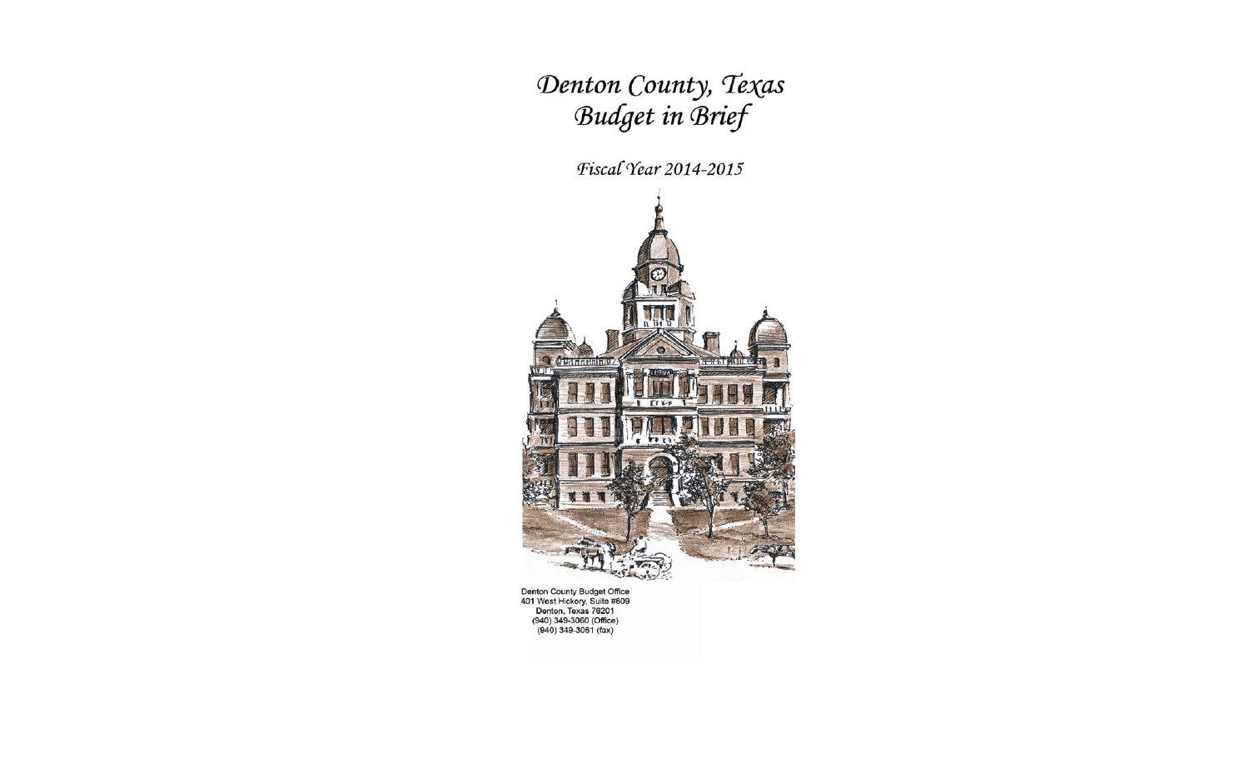# Denton County, Texas **Budget in Brief**

# Fiscal Year 2014-2015



Denton County Budget Office 401 West Hickory, Suite #609 Denton, Texas 76201 (940) 349-3060 (Office)  $(940)$  349-3061 (fax)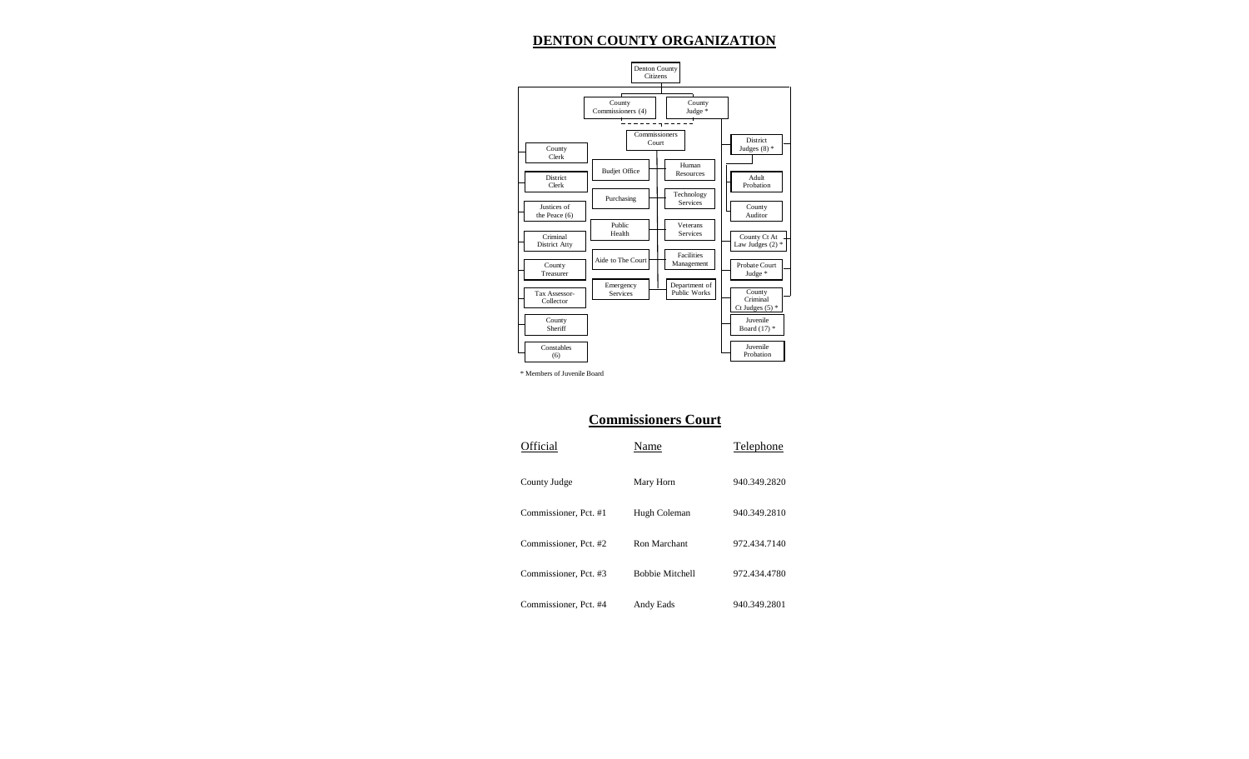## **DENTON COUNTY ORGANIZATION**



\* Members of Juvenile Board

#### **Commissioners Court**

| Official              | Name                   | Telephone    |
|-----------------------|------------------------|--------------|
| County Judge          | Mary Horn              | 940.349.2820 |
| Commissioner, Pct. #1 | Hugh Coleman           | 940.349.2810 |
| Commissioner, Pct. #2 | Ron Marchant           | 972.434.7140 |
| Commissioner, Pct. #3 | <b>Bobbie Mitchell</b> | 972.434.4780 |
| Commissioner, Pct. #4 | Andy Eads              | 940.349.2801 |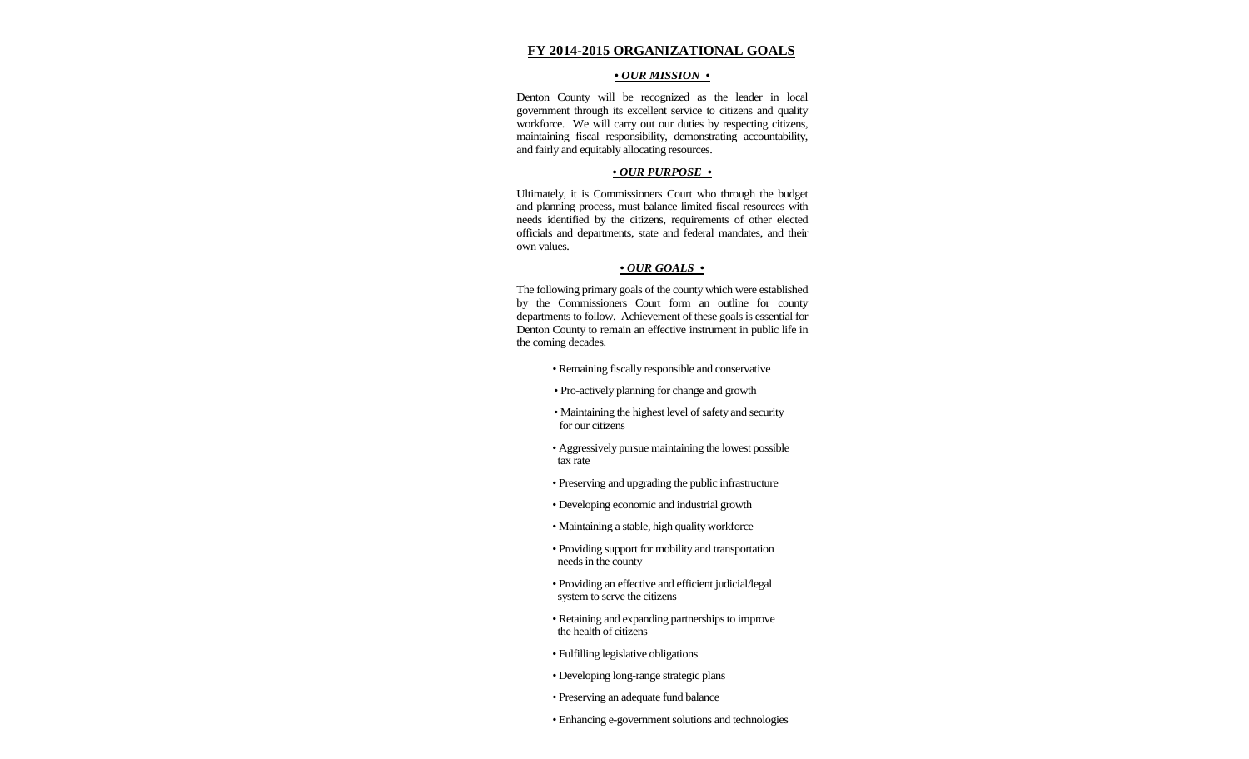#### **FY 2014-2015 ORGANIZATIONAL GOALS**

#### *• OUR MISSION •*

Denton County will be recognized as the leader in local government through its excellent service to citizens and quality workforce. We will carry out our duties by respecting citizens, maintaining fiscal responsibility, demonstrating accountability, and fairly and equitably allocating resources.

#### *• OUR PURPOSE •*

Ultimately, it is Commissioners Court who through the budget and planning process, must balance limited fiscal resources with needs identified by the citizens, requirements of other elected officials and departments, state and federal mandates, and their own values.

#### *• OUR GOALS •*

The following primary goals of the county which were established by the Commissioners Court form an outline for county departments to follow. Achievement of these goals is essential for Denton County to remain an effective instrument in public life in the coming decades.

- *•* Remaining fiscally responsible and conservative
- Pro-actively planning for change and growth
- Maintaining the highest level of safety and security for our citizens
- Aggressively pursue maintaining the lowest possible tax rate
- Preserving and upgrading the public infrastructure
- Developing economic and industrial growth
- Maintaining a stable, high quality workforce
- Providing support for mobility and transportation needs in the county
- Providing an effective and efficient judicial/legal system to serve the citizens
- Retaining and expanding partnerships to improve the health of citizens
- Fulfilling legislative obligations
- Developing long-range strategic plans
- *•* Preserving an adequate fund balance
- *•* Enhancing e-government solutions and technologies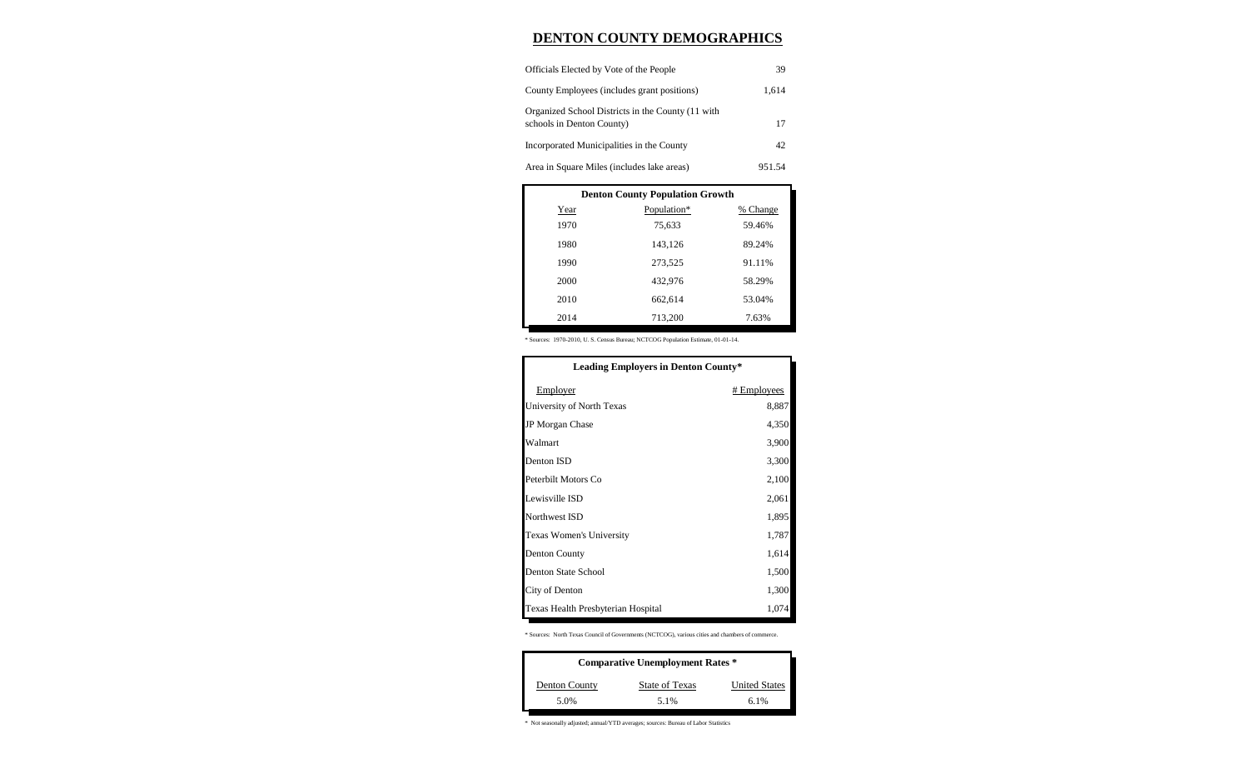### **DENTON COUNTY DEMOGRAPHICS**

| Officials Elected by Vote of the People                                        | 39     |
|--------------------------------------------------------------------------------|--------|
| County Employees (includes grant positions)                                    | 1.614  |
| Organized School Districts in the County (11 with<br>schools in Denton County) | 17     |
| Incorporated Municipalities in the County                                      | 42     |
| Area in Square Miles (includes lake areas)                                     | 951.54 |

| <b>Denton County Population Growth</b> |             |          |  |  |  |
|----------------------------------------|-------------|----------|--|--|--|
| Year                                   | Population* | % Change |  |  |  |
| 1970                                   | 75,633      | 59.46%   |  |  |  |
| 1980                                   | 143,126     | 89.24%   |  |  |  |
| 1990                                   | 273,525     | 91.11%   |  |  |  |
| 2000                                   | 432.976     | 58.29%   |  |  |  |
| 2010                                   | 662,614     | 53.04%   |  |  |  |
| 2014                                   | 713,200     | 7.63%    |  |  |  |

\* Sources: 1970-2010, U. S. Census Bureau; NCTCOG Population Estimate, 01-01-14.

| <b>Leading Employers in Denton County*</b> |             |  |  |
|--------------------------------------------|-------------|--|--|
| Employer                                   | # Employees |  |  |
| University of North Texas                  | 8,887       |  |  |
| <b>JP</b> Morgan Chase                     | 4,350       |  |  |
| Walmart                                    | 3,900       |  |  |
| Denton ISD                                 | 3,300       |  |  |
| Peterbilt Motors Co                        | 2,100       |  |  |
| Lewisville ISD                             | 2,061       |  |  |
| Northwest ISD                              | 1,895       |  |  |
| Texas Women's University                   | 1,787       |  |  |
| <b>Denton County</b>                       | 1,614       |  |  |
| Denton State School                        | 1,500       |  |  |
| City of Denton                             | 1,300       |  |  |
| Texas Health Presbyterian Hospital         | 1,074       |  |  |

\* Sources: North Texas Council of Governments (NCTCOG), various cities and chambers of commerce.

| <b>Comparative Unemployment Rates *</b> |                |                      |  |  |  |
|-----------------------------------------|----------------|----------------------|--|--|--|
| Denton County                           | State of Texas | <b>United States</b> |  |  |  |
| 5.0%                                    | 5.1%           | 6.1%                 |  |  |  |

\* Not seasonally adjusted; annual/YTD averages; sources: Bureau of Labor Statistics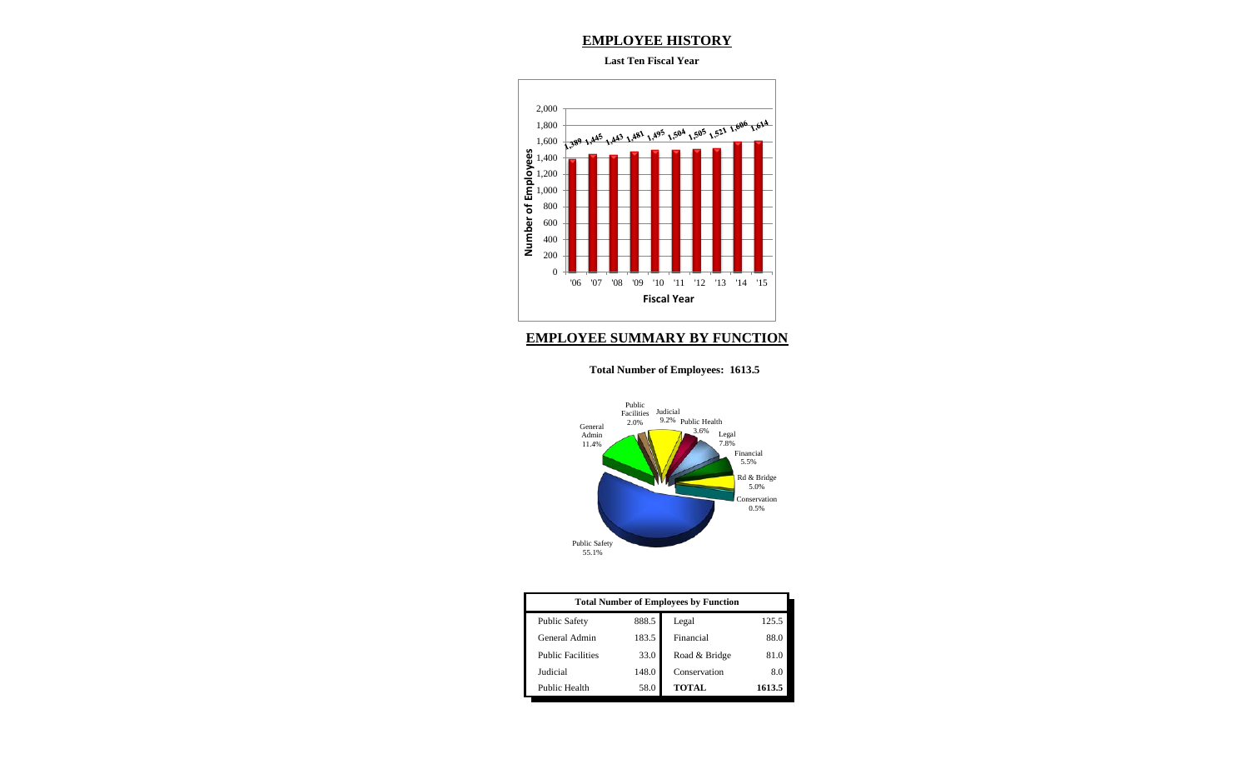### **EMPLOYEE HISTORY**

#### **Last Ten Fiscal Year**



### **EMPLOYEE SUMMARY BY FUNCTION**

#### **Total Number of Employees: 1613.5**



| <b>Total Number of Employees by Function</b> |       |               |        |  |  |
|----------------------------------------------|-------|---------------|--------|--|--|
| <b>Public Safety</b>                         | 888.5 | Legal         | 125.5  |  |  |
| General Admin                                | 183.5 | Financial     | 88.0   |  |  |
| <b>Public Facilities</b>                     | 33.0  | Road & Bridge | 81.0   |  |  |
| Judicial                                     | 148.0 | Conservation  | 8.0    |  |  |
| Public Health                                | 58.0  | <b>TOTAL</b>  | 1613.5 |  |  |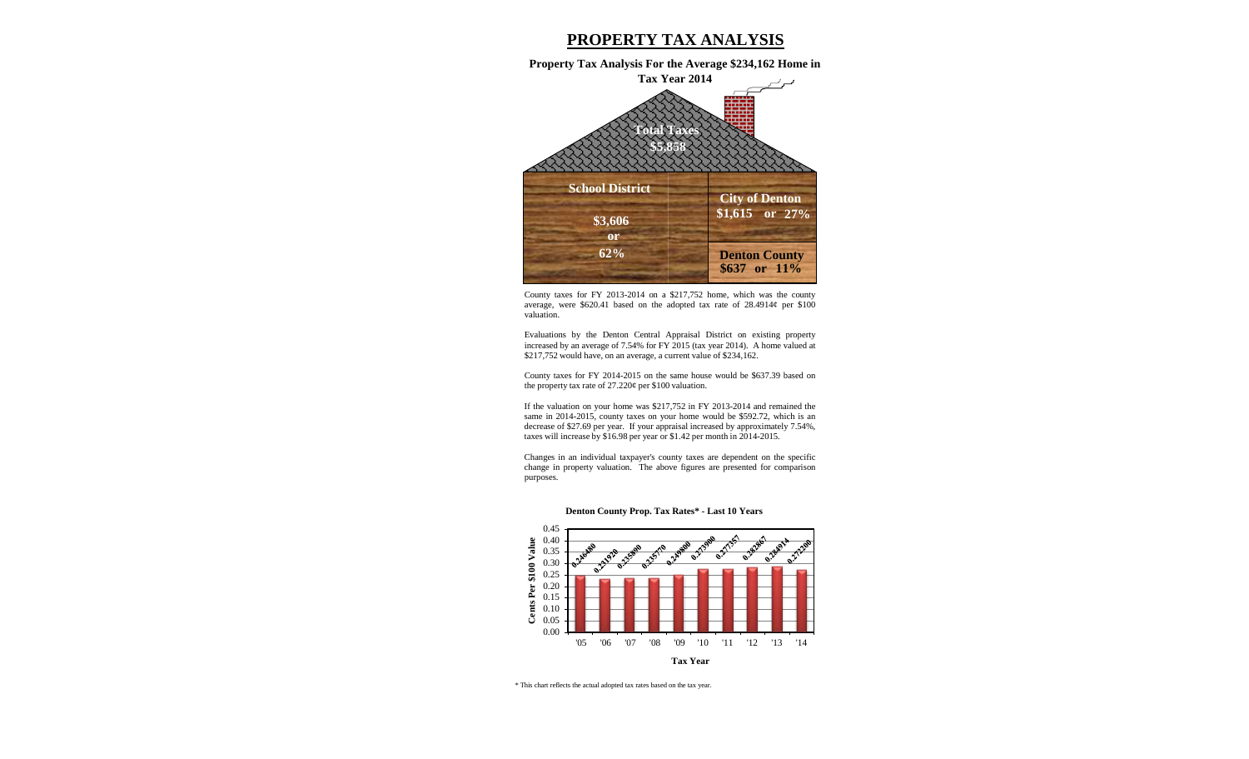# **PROPERTY TAX ANALYSIS**

**Property Tax Analysis For the Average \$234,162 Home in Tax Year 2014**



County taxes for FY 2013-2014 on a \$217,752 home, which was the county average, were  $$620.41$  based on the adopted tax rate of  $28.4914¢$  per \$100 valuation.

Evaluations by the Denton Central Appraisal District on existing property increased by an average of 7.54% for FY 2015 (tax year 2014). A home valued at \$217,752 would have, on an average, a current value of \$234,162.

County taxes for FY 2014-2015 on the same house would be \$637.39 based on the property tax rate of 27.220¢ per \$100 valuation.

If the valuation on your home was \$217,752 in FY 2013-2014 and remained the same in 2014-2015, county taxes on your home would be \$592.72, which is an decrease of \$27.69 per year. If your appraisal increased by approximately 7.54%, taxes will increase by \$16.98 per year or \$1.42 per month in 2014-2015.

Changes in an individual taxpayer's county taxes are dependent on the specific change in property valuation. The above figures are presented for comparison purposes.





\* This chart reflects the actual adopted tax rates based on the tax year.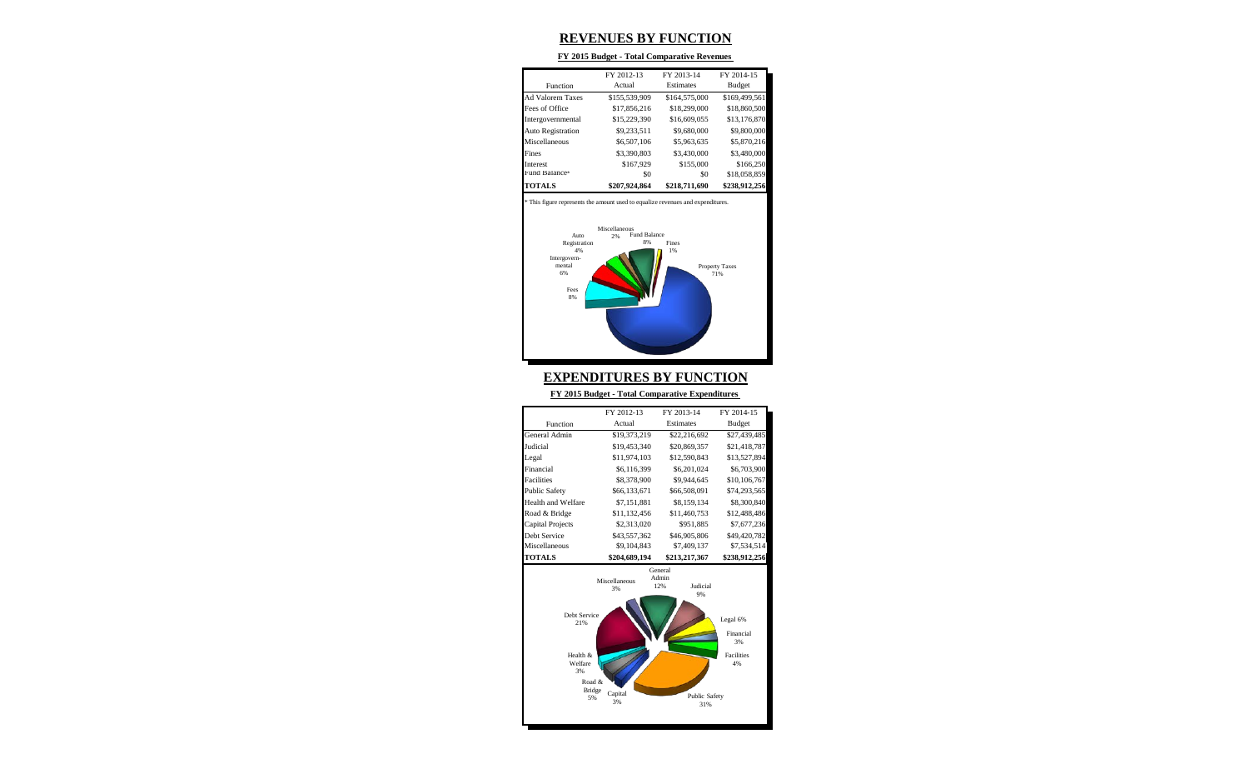# **REVENUES BY FUNCTION**

#### **FY 2015 Budget - Total Comparative Revenues**

|                          | FY 2012-13    | FY 2013-14    | FY 2014-15    |
|--------------------------|---------------|---------------|---------------|
| Function                 | Actual        | Estimates     | Budget        |
| <b>Ad Valorem Taxes</b>  | \$155,539,909 | \$164,575,000 | \$169,499,561 |
| Fees of Office           | \$17,856,216  | \$18,299,000  | \$18,860,500  |
| Intergovernmental        | \$15,229,390  | \$16,609,055  | \$13,176,870  |
| <b>Auto Registration</b> | \$9,233,511   | \$9,680,000   | \$9,800,000   |
| Miscellaneous            | \$6,507,106   | \$5,963,635   | \$5,870,216   |
| Fines                    | \$3,390,803   | \$3,430,000   | \$3,480,000   |
| <b>Interest</b>          | \$167,929     | \$155,000     | \$166,250     |
| Fund Balance*            | \$0           | \$0           | \$18,058,859  |
| <b>TOTALS</b>            | \$207.924.864 | \$218,711,690 | \$238,912,256 |

This figure represents the amount used to equalize revenues and expenditures.



### **EXPENDITURES BY FUNCTION**

**FY 2015 Budget - Total Comparative Expenditures** 

|                           | FY 2012-13                 | FY 2013-14                                 | FY 2014-15    |
|---------------------------|----------------------------|--------------------------------------------|---------------|
| Function                  | Actual                     | Estimates                                  | Budget        |
| General Admin             | \$19,373,219               | \$22,216,692                               | \$27,439,485  |
| Judicial                  | \$19,453,340               | \$20,869,357                               | \$21,418,787  |
| Legal                     | \$11,974,103               | \$12,590,843                               | \$13,527,894  |
| Financial                 | \$6,116,399                | \$6,201,024                                | \$6,703,900   |
| <b>Facilities</b>         | \$8,378,900<br>\$9,944,645 |                                            | \$10,106,767  |
| <b>Public Safety</b>      | \$66,133,671               | \$66,508,091                               | \$74,293,565  |
| <b>Health and Welfare</b> | \$7,151,881                | \$8,159,134                                | \$8,300,840   |
| Road & Bridge             | \$11,132,456               | \$11,460,753                               | \$12,488,486  |
| <b>Capital Projects</b>   | \$2,313,020                | \$951.885                                  | \$7,677,236   |
| Debt Service              | \$43,557,362               | \$46,905,806                               | \$49,420,782  |
| Miscellaneous             | \$9,104,843                | \$7,409,137                                | \$7,534,514   |
| <b>TOTALS</b>             | \$204,689,194              | \$213,217,367                              | \$238,912,256 |
|                           | Miscellaneous<br>3%        | General<br>Admin<br>12%<br><b>Judicial</b> |               |